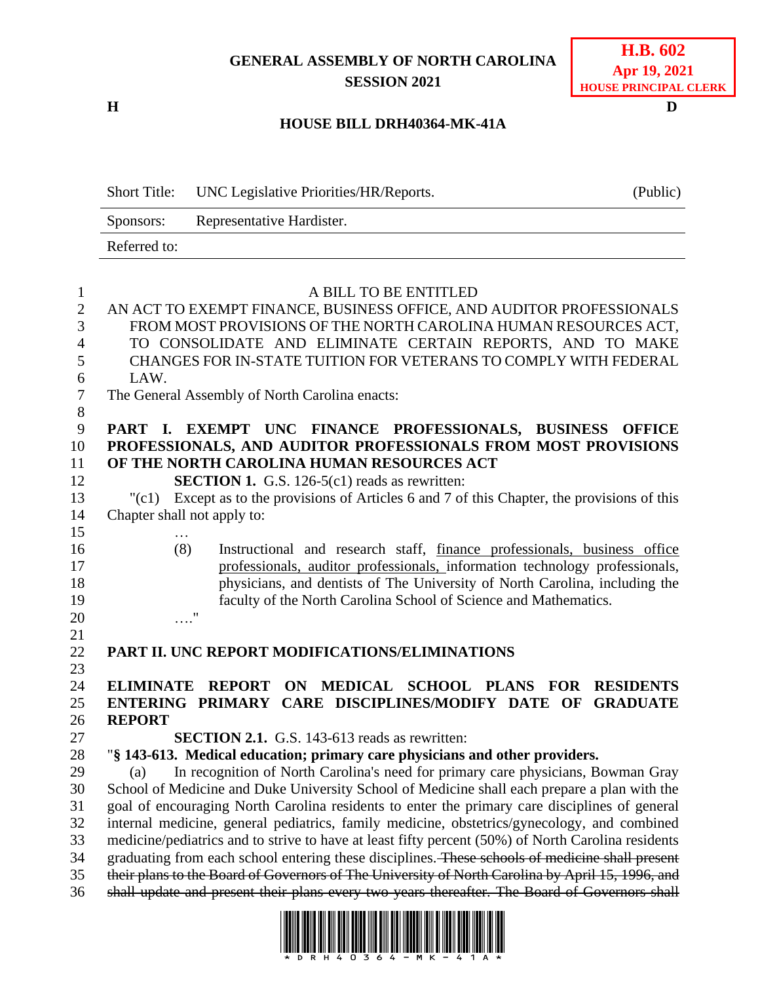## **GENERAL ASSEMBLY OF NORTH CAROLINA SESSION 2021**

**H D**

### **H.B. 602 Apr 19, 2021 HOUSE PRINCIPAL CLERK**

#### **HOUSE BILL DRH40364-MK-41A**

|              | Short Title: UNC Legislative Priorities/HR/Reports. | (Public) |
|--------------|-----------------------------------------------------|----------|
| Sponsors:    | Representative Hardister.                           |          |
| Referred to: |                                                     |          |

| $\mathbf{1}$   | A BILL TO BE ENTITLED                                                                                                                                                                             |
|----------------|---------------------------------------------------------------------------------------------------------------------------------------------------------------------------------------------------|
| $\sqrt{2}$     | AN ACT TO EXEMPT FINANCE, BUSINESS OFFICE, AND AUDITOR PROFESSIONALS                                                                                                                              |
| 3              | FROM MOST PROVISIONS OF THE NORTH CAROLINA HUMAN RESOURCES ACT,                                                                                                                                   |
| $\overline{4}$ | TO CONSOLIDATE AND ELIMINATE CERTAIN REPORTS, AND TO MAKE                                                                                                                                         |
| 5              | CHANGES FOR IN-STATE TUITION FOR VETERANS TO COMPLY WITH FEDERAL                                                                                                                                  |
| 6              | LAW.                                                                                                                                                                                              |
| $\tau$         | The General Assembly of North Carolina enacts:                                                                                                                                                    |
| 8              |                                                                                                                                                                                                   |
| 9              | PART I. EXEMPT UNC FINANCE PROFESSIONALS, BUSINESS<br><b>OFFICE</b>                                                                                                                               |
| 10             | PROFESSIONALS, AND AUDITOR PROFESSIONALS FROM MOST PROVISIONS                                                                                                                                     |
| 11             | OF THE NORTH CAROLINA HUMAN RESOURCES ACT                                                                                                                                                         |
| 12             | <b>SECTION 1.</b> G.S. 126-5(c1) reads as rewritten:                                                                                                                                              |
| 13             | Except as to the provisions of Articles 6 and 7 of this Chapter, the provisions of this<br>"(c1)                                                                                                  |
| 14             | Chapter shall not apply to:                                                                                                                                                                       |
| 15             |                                                                                                                                                                                                   |
| 16             | .<br>(8)<br>Instructional and research staff, finance professionals, business office                                                                                                              |
| 17             | professionals, auditor professionals, information technology professionals,                                                                                                                       |
| 18             | physicians, and dentists of The University of North Carolina, including the                                                                                                                       |
|                |                                                                                                                                                                                                   |
|                |                                                                                                                                                                                                   |
| 19             | faculty of the North Carolina School of Science and Mathematics.                                                                                                                                  |
|                | $\ldots$ <sup>"</sup>                                                                                                                                                                             |
|                |                                                                                                                                                                                                   |
| 21<br>22       | PART II. UNC REPORT MODIFICATIONS/ELIMINATIONS                                                                                                                                                    |
|                |                                                                                                                                                                                                   |
| 24             | ELIMINATE REPORT ON MEDICAL SCHOOL PLANS FOR<br><b>RESIDENTS</b>                                                                                                                                  |
| 25             | ENTERING PRIMARY CARE DISCIPLINES/MODIFY DATE OF<br><b>GRADUATE</b>                                                                                                                               |
|                | <b>REPORT</b>                                                                                                                                                                                     |
| 26<br>27       | <b>SECTION 2.1.</b> G.S. 143-613 reads as rewritten:                                                                                                                                              |
| 28             | "§ 143-613. Medical education; primary care physicians and other providers.                                                                                                                       |
| 29             | In recognition of North Carolina's need for primary care physicians, Bowman Gray<br>(a)                                                                                                           |
| 30             | School of Medicine and Duke University School of Medicine shall each prepare a plan with the                                                                                                      |
| 31             | goal of encouraging North Carolina residents to enter the primary care disciplines of general                                                                                                     |
| 32             | internal medicine, general pediatrics, family medicine, obstetrics/gynecology, and combined                                                                                                       |
| 33             | medicine/pediatrics and to strive to have at least fifty percent (50%) of North Carolina residents                                                                                                |
| 20<br>23<br>34 | graduating from each school entering these disciplines. These schools of medicine shall present                                                                                                   |
| 35<br>36       | their plans to the Board of Governors of The University of North Carolina by April 15, 1996, and<br>shall update and present their plans every two years thereafter. The Board of Governors shall |

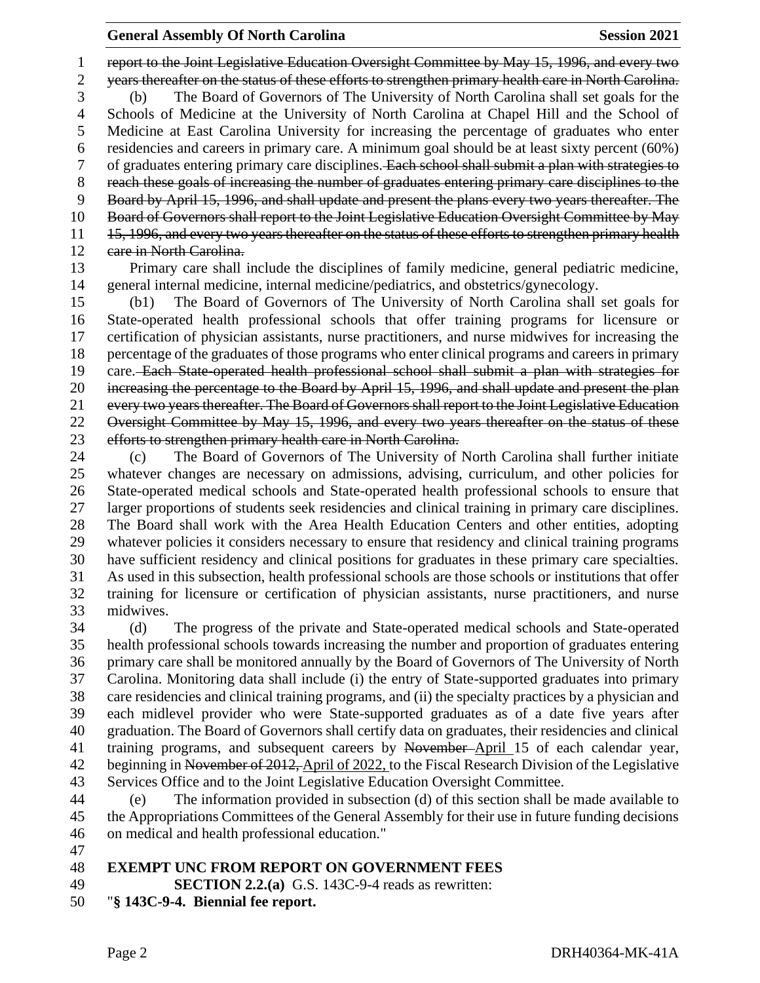report to the Joint Legislative Education Oversight Committee by May 15, 1996, and every two years thereafter on the status of these efforts to strengthen primary health care in North Carolina. (b) The Board of Governors of The University of North Carolina shall set goals for the Schools of Medicine at the University of North Carolina at Chapel Hill and the School of Medicine at East Carolina University for increasing the percentage of graduates who enter residencies and careers in primary care. A minimum goal should be at least sixty percent (60%) 7 of graduates entering primary care disciplines. Each school shall submit a plan with strategies to reach these goals of increasing the number of graduates entering primary care disciplines to the Board by April 15, 1996, and shall update and present the plans every two years thereafter. The Board of Governors shall report to the Joint Legislative Education Oversight Committee by May 11 15, 1996, and every two years thereafter on the status of these efforts to strengthen primary health 12 eare in North Carolina.

 Primary care shall include the disciplines of family medicine, general pediatric medicine, general internal medicine, internal medicine/pediatrics, and obstetrics/gynecology.

 (b1) The Board of Governors of The University of North Carolina shall set goals for State-operated health professional schools that offer training programs for licensure or certification of physician assistants, nurse practitioners, and nurse midwives for increasing the percentage of the graduates of those programs who enter clinical programs and careers in primary care. Each State-operated health professional school shall submit a plan with strategies for increasing the percentage to the Board by April 15, 1996, and shall update and present the plan every two years thereafter. The Board of Governors shall report to the Joint Legislative Education 22 Oversight Committee by May 15, 1996, and every two years thereafter on the status of these efforts to strengthen primary health care in North Carolina.

 (c) The Board of Governors of The University of North Carolina shall further initiate whatever changes are necessary on admissions, advising, curriculum, and other policies for State-operated medical schools and State-operated health professional schools to ensure that larger proportions of students seek residencies and clinical training in primary care disciplines. The Board shall work with the Area Health Education Centers and other entities, adopting whatever policies it considers necessary to ensure that residency and clinical training programs have sufficient residency and clinical positions for graduates in these primary care specialties. As used in this subsection, health professional schools are those schools or institutions that offer training for licensure or certification of physician assistants, nurse practitioners, and nurse midwives.

 (d) The progress of the private and State-operated medical schools and State-operated health professional schools towards increasing the number and proportion of graduates entering primary care shall be monitored annually by the Board of Governors of The University of North Carolina. Monitoring data shall include (i) the entry of State-supported graduates into primary care residencies and clinical training programs, and (ii) the specialty practices by a physician and each midlevel provider who were State-supported graduates as of a date five years after graduation. The Board of Governors shall certify data on graduates, their residencies and clinical 41 training programs, and subsequent careers by November-April 15 of each calendar year, 42 beginning in November of 2012, April of 2022, to the Fiscal Research Division of the Legislative Services Office and to the Joint Legislative Education Oversight Committee.

 (e) The information provided in subsection (d) of this section shall be made available to the Appropriations Committees of the General Assembly for their use in future funding decisions on medical and health professional education."

#### **EXEMPT UNC FROM REPORT ON GOVERNMENT FEES**

**SECTION 2.2.(a)** G.S. 143C-9-4 reads as rewritten:

"**§ 143C-9-4. Biennial fee report.**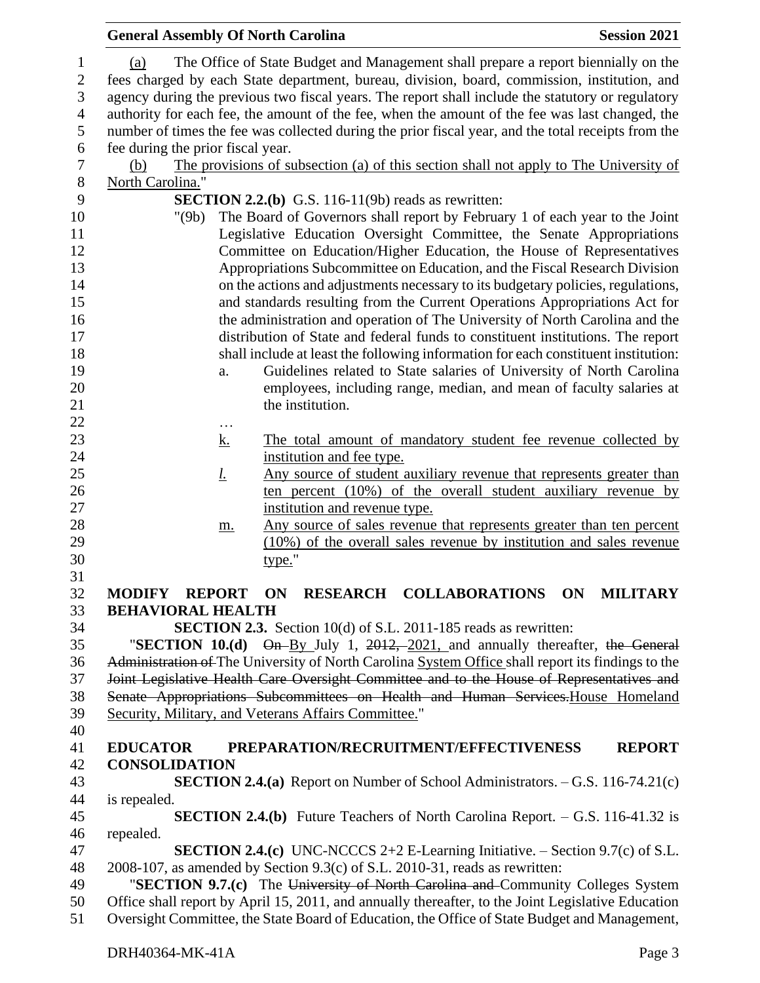#### **General Assembly Of North Carolina Session 2021**  (a) The Office of State Budget and Management shall prepare a report biennially on the fees charged by each State department, bureau, division, board, commission, institution, and agency during the previous two fiscal years. The report shall include the statutory or regulatory authority for each fee, the amount of the fee, when the amount of the fee was last changed, the number of times the fee was collected during the prior fiscal year, and the total receipts from the fee during the prior fiscal year. (b) The provisions of subsection (a) of this section shall not apply to The University of North Carolina." **SECTION 2.2.(b)** G.S. 116-11(9b) reads as rewritten: "(9b) The Board of Governors shall report by February 1 of each year to the Joint Legislative Education Oversight Committee, the Senate Appropriations Committee on Education/Higher Education, the House of Representatives Appropriations Subcommittee on Education, and the Fiscal Research Division on the actions and adjustments necessary to its budgetary policies, regulations, and standards resulting from the Current Operations Appropriations Act for the administration and operation of The University of North Carolina and the distribution of State and federal funds to constituent institutions. The report shall include at least the following information for each constituent institution: a. Guidelines related to State salaries of University of North Carolina employees, including range, median, and mean of faculty salaries at 21 the institution. … 23 k. The total amount of mandatory student fee revenue collected by **institution and fee type.** *l.* Any source of student auxiliary revenue that represents greater than 26 ten percent (10%) of the overall student auxiliary revenue by institution and revenue type. 28 m. Any source of sales revenue that represents greater than ten percent (10%) of the overall sales revenue by institution and sales revenue type." **MODIFY REPORT ON RESEARCH COLLABORATIONS ON MILITARY BEHAVIORAL HEALTH SECTION 2.3.** Section 10(d) of S.L. 2011-185 reads as rewritten: "**SECTION 10.(d)** On By July 1, 2012, 2021, and annually thereafter, the General Administration of The University of North Carolina System Office shall report its findings to the Joint Legislative Health Care Oversight Committee and to the House of Representatives and Senate Appropriations Subcommittees on Health and Human Services.House Homeland Security, Military, and Veterans Affairs Committee." **EDUCATOR PREPARATION/RECRUITMENT/EFFECTIVENESS REPORT CONSOLIDATION SECTION 2.4.(a)** Report on Number of School Administrators. – G.S. 116-74.21(c) is repealed. **SECTION 2.4.(b)** Future Teachers of North Carolina Report. – G.S. 116-41.32 is repealed. **SECTION 2.4.(c)** UNC-NCCCS 2+2 E-Learning Initiative. – Section 9.7(c) of S.L. 2008-107, as amended by Section 9.3(c) of S.L. 2010-31, reads as rewritten: "**SECTION 9.7.(c)** The University of North Carolina and Community Colleges System Office shall report by April 15, 2011, and annually thereafter, to the Joint Legislative Education Oversight Committee, the State Board of Education, the Office of State Budget and Management,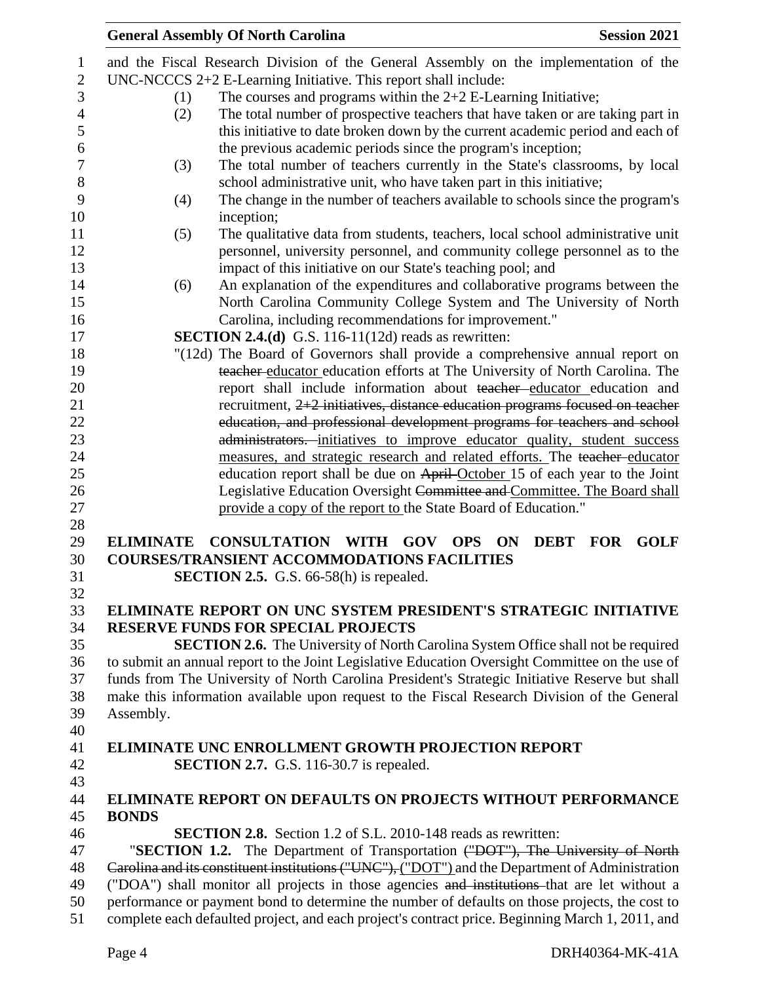|                  | <b>General Assembly Of North Carolina</b>                            | <b>Session 2021</b>                                                                              |
|------------------|----------------------------------------------------------------------|--------------------------------------------------------------------------------------------------|
|                  |                                                                      | and the Fiscal Research Division of the General Assembly on the implementation of the            |
|                  | UNC-NCCCS 2+2 E-Learning Initiative. This report shall include:      |                                                                                                  |
| (1)              | The courses and programs within the $2+2$ E-Learning Initiative;     |                                                                                                  |
| (2)              |                                                                      | The total number of prospective teachers that have taken or are taking part in                   |
|                  |                                                                      | this initiative to date broken down by the current academic period and each of                   |
|                  | the previous academic periods since the program's inception;         |                                                                                                  |
| (3)              |                                                                      | The total number of teachers currently in the State's classrooms, by local                       |
|                  | school administrative unit, who have taken part in this initiative;  |                                                                                                  |
| (4)              |                                                                      | The change in the number of teachers available to schools since the program's                    |
|                  | inception;                                                           |                                                                                                  |
| (5)              |                                                                      | The qualitative data from students, teachers, local school administrative unit                   |
|                  |                                                                      | personnel, university personnel, and community college personnel as to the                       |
|                  | impact of this initiative on our State's teaching pool; and          |                                                                                                  |
| (6)              |                                                                      | An explanation of the expenditures and collaborative programs between the                        |
|                  |                                                                      | North Carolina Community College System and The University of North                              |
|                  | Carolina, including recommendations for improvement."                |                                                                                                  |
|                  | <b>SECTION 2.4.(d)</b> G.S. 116-11(12d) reads as rewritten:          |                                                                                                  |
|                  |                                                                      | "(12d) The Board of Governors shall provide a comprehensive annual report on                     |
|                  |                                                                      | teacher educator education efforts at The University of North Carolina. The                      |
|                  |                                                                      | report shall include information about teacher educator education and                            |
|                  |                                                                      | recruitment, 2+2 initiatives, distance education programs focused on teacher                     |
|                  |                                                                      | education, and professional development programs for teachers and school                         |
|                  |                                                                      | administrators. initiatives to improve educator quality, student success                         |
|                  |                                                                      | measures, and strategic research and related efforts. The teacher-educator                       |
|                  |                                                                      | education report shall be due on April-October 15 of each year to the Joint                      |
|                  |                                                                      | Legislative Education Oversight Committee and Committee. The Board shall                         |
|                  | provide a copy of the report to the State Board of Education."       |                                                                                                  |
|                  |                                                                      |                                                                                                  |
| <b>ELIMINATE</b> | <b>CONSULTATION WITH GOV</b>                                         | <b>GOLF</b><br><b>OPS</b><br><b>ON</b><br><b>DEBT</b><br><b>FOR</b>                              |
|                  | <b>COURSES/TRANSIENT ACCOMMODATIONS FACILITIES</b>                   |                                                                                                  |
|                  | <b>SECTION 2.5.</b> G.S. $66-58(h)$ is repealed.                     |                                                                                                  |
|                  |                                                                      |                                                                                                  |
|                  |                                                                      | ELIMINATE REPORT ON UNC SYSTEM PRESIDENT'S STRATEGIC INITIATIVE                                  |
|                  | <b>RESERVE FUNDS FOR SPECIAL PROJECTS</b>                            |                                                                                                  |
|                  |                                                                      | <b>SECTION 2.6.</b> The University of North Carolina System Office shall not be required         |
|                  |                                                                      | to submit an annual report to the Joint Legislative Education Oversight Committee on the use of  |
|                  |                                                                      | funds from The University of North Carolina President's Strategic Initiative Reserve but shall   |
|                  |                                                                      | make this information available upon request to the Fiscal Research Division of the General      |
| Assembly.        |                                                                      |                                                                                                  |
|                  |                                                                      |                                                                                                  |
|                  | <b>ELIMINATE UNC ENROLLMENT GROWTH PROJECTION REPORT</b>             |                                                                                                  |
|                  | <b>SECTION 2.7.</b> G.S. 116-30.7 is repealed.                       |                                                                                                  |
|                  |                                                                      |                                                                                                  |
|                  |                                                                      | <b>ELIMINATE REPORT ON DEFAULTS ON PROJECTS WITHOUT PERFORMANCE</b>                              |
| <b>BONDS</b>     |                                                                      |                                                                                                  |
|                  | <b>SECTION 2.8.</b> Section 1.2 of S.L. 2010-148 reads as rewritten: |                                                                                                  |
|                  |                                                                      | "SECTION 1.2. The Department of Transportation ("DOT"), The University of North                  |
|                  |                                                                      | Carolina and its constituent institutions ("UNC"), ("DOT") and the Department of Administration  |
|                  |                                                                      | ("DOA") shall monitor all projects in those agencies and institutions that are let without a     |
|                  |                                                                      | performance or payment bond to determine the number of defaults on those projects, the cost to   |
|                  |                                                                      | complete each defaulted project, and each project's contract price. Beginning March 1, 2011, and |